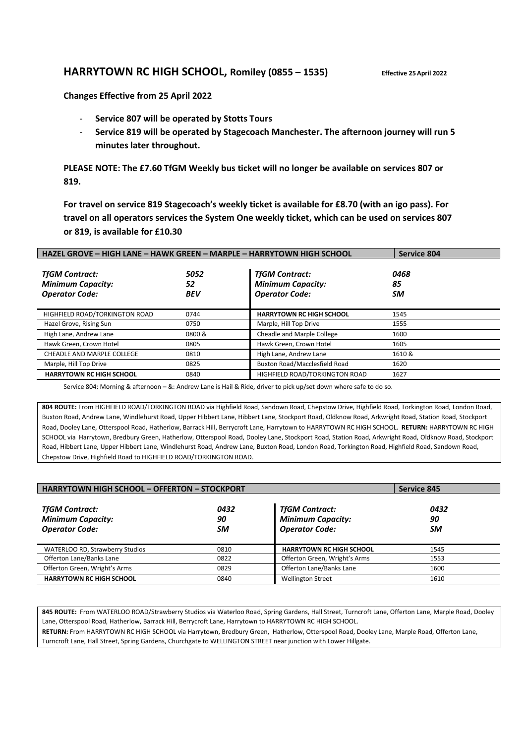## **HARRYTOWN RC HIGH SCHOOL, Romiley (0855 – 1535) Effective 25April 2022**

**Changes Effective from 25 April 2022**

- **Service 807 will be operated by Stotts Tours**
- **Service 819 will be operated by Stagecoach Manchester. The afternoon journey will run 5 minutes later throughout.**

**PLEASE NOTE: The £7.60 TfGM Weekly bus ticket will no longer be available on services 807 or 819.** 

**For travel on service 819 Stagecoach's weekly ticket is available for £8.70 (with an igo pass). For travel on all operators services the System One weekly ticket, which can be used on services 807 or 819, is available for £10.30**

| HAZEL GROVE - HIGH LANE - HAWK GREEN - MARPLE - HARRYTOWN HIGH SCHOOL      |                          |                                                                            | <b>Service 804</b> |
|----------------------------------------------------------------------------|--------------------------|----------------------------------------------------------------------------|--------------------|
| <b>TfGM Contract:</b><br><b>Minimum Capacity:</b><br><b>Operator Code:</b> | 5052<br>52<br><b>BEV</b> | <b>TfGM Contract:</b><br><b>Minimum Capacity:</b><br><b>Operator Code:</b> | 0468<br>85<br>SM   |
| HIGHFIELD ROAD/TORKINGTON ROAD                                             | 0744                     | <b>HARRYTOWN RC HIGH SCHOOL</b>                                            | 1545               |
| Hazel Grove, Rising Sun                                                    | 0750                     | Marple, Hill Top Drive                                                     | 1555               |
| High Lane, Andrew Lane                                                     | 0800 &                   | Cheadle and Marple College                                                 | 1600               |
| Hawk Green, Crown Hotel                                                    | 0805                     | Hawk Green, Crown Hotel                                                    | 1605               |
| <b>CHEADLE AND MARPLE COLLEGE</b>                                          | 0810                     | High Lane, Andrew Lane                                                     | 1610 &             |
| Marple, Hill Top Drive                                                     | 0825                     | Buxton Road/Macclesfield Road                                              | 1620               |
| <b>HARRYTOWN RC HIGH SCHOOL</b>                                            | 0840                     | HIGHFIELD ROAD/TORKINGTON ROAD                                             | 1627               |

Service 804: Morning & afternoon – &: Andrew Lane is Hail & Ride, driver to pick up/set down where safe to do so.

**804 ROUTE:** From HIGHFIELD ROAD/TORKINGTON ROAD via Highfield Road, Sandown Road, Chepstow Drive, Highfield Road, Torkington Road, London Road, Buxton Road, Andrew Lane, Windlehurst Road, Upper Hibbert Lane, Hibbert Lane, Stockport Road, Oldknow Road, Arkwright Road, Station Road, Stockport Road, Dooley Lane, Otterspool Road, Hatherlow, Barrack Hill, Berrycroft Lane, Harrytown to HARRYTOWN RC HIGH SCHOOL. **RETURN:** HARRYTOWN RC HIGH SCHOOL via Harrytown, Bredbury Green, Hatherlow, Otterspool Road, Dooley Lane, Stockport Road, Station Road, Arkwright Road, Oldknow Road, Stockport Road, Hibbert Lane, Upper Hibbert Lane, Windlehurst Road, Andrew Lane, Buxton Road, London Road, Torkington Road, Highfield Road, Sandown Road, Chepstow Drive, Highfield Road to HIGHFIELD ROAD/TORKINGTON ROAD.

| <b>HARRYTOWN HIGH SCHOOL - OFFERTON - STOCKPORT</b>                        | <b>Service 845</b> |                                                                            |                         |
|----------------------------------------------------------------------------|--------------------|----------------------------------------------------------------------------|-------------------------|
| <b>TfGM Contract:</b><br><b>Minimum Capacity:</b><br><b>Operator Code:</b> | 0432<br>90<br>SM   | <b>TfGM Contract:</b><br><b>Minimum Capacity:</b><br><b>Operator Code:</b> | 0432<br>90<br><b>SM</b> |
| WATERLOO RD, Strawberry Studios                                            | 0810               | <b>HARRYTOWN RC HIGH SCHOOL</b>                                            | 1545                    |
| Offerton Lane/Banks Lane                                                   | 0822               | Offerton Green, Wright's Arms                                              | 1553                    |
| Offerton Green, Wright's Arms                                              | 0829               | Offerton Lane/Banks Lane                                                   | 1600                    |
| <b>HARRYTOWN RC HIGH SCHOOL</b>                                            | 0840               | <b>Wellington Street</b>                                                   | 1610                    |

**845 ROUTE:** From WATERLOO ROAD/Strawberry Studios via Waterloo Road, Spring Gardens, Hall Street, Turncroft Lane, Offerton Lane, Marple Road, Dooley Lane, Otterspool Road, Hatherlow, Barrack Hill, Berrycroft Lane, Harrytown to HARRYTOWN RC HIGH SCHOOL. **RETURN:** From HARRYTOWN RC HIGH SCHOOL via Harrytown, Bredbury Green, Hatherlow, Otterspool Road, Dooley Lane, Marple Road, Offerton Lane, Turncroft Lane, Hall Street, Spring Gardens, Churchgate to WELLINGTON STREET near junction with Lower Hillgate.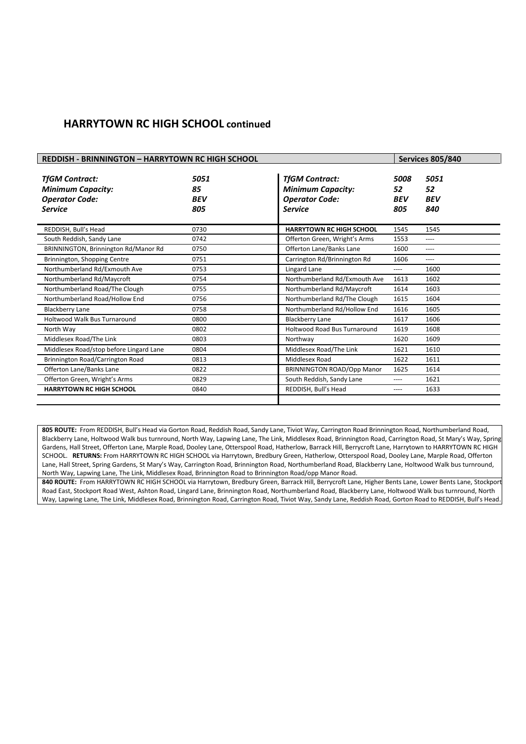## **HARRYTOWN RC HIGH SCHOOL continued**

| <b>REDDISH - BRINNINGTON - HARRYTOWN RC HIGH SCHOOL</b> |            |                                     |            | <b>Services 805/840</b> |
|---------------------------------------------------------|------------|-------------------------------------|------------|-------------------------|
|                                                         |            |                                     |            |                         |
| <b>TfGM Contract:</b>                                   | 5051       | <b>TfGM Contract:</b>               | 5008       | 5051                    |
| <b>Minimum Capacity:</b>                                | 85         | <b>Minimum Capacity:</b>            | 52         | 52                      |
| <b>Operator Code:</b>                                   | <b>BEV</b> | <b>Operator Code:</b>               | <b>BEV</b> | <b>BEV</b>              |
| <b>Service</b>                                          | 805        | <b>Service</b>                      | 805        | 840                     |
|                                                         |            |                                     |            |                         |
| REDDISH, Bull's Head                                    | 0730       | <b>HARRYTOWN RC HIGH SCHOOL</b>     | 1545       | 1545                    |
| South Reddish, Sandy Lane                               | 0742       | Offerton Green, Wright's Arms       | 1553       | ----                    |
| BRINNINGTON, Brinnington Rd/Manor Rd                    | 0750       | Offerton Lane/Banks Lane            | 1600       | ----                    |
| Brinnington, Shopping Centre                            | 0751       | Carrington Rd/Brinnington Rd        | 1606       | ----                    |
| Northumberland Rd/Exmouth Ave                           | 0753       | Lingard Lane                        | ----       | 1600                    |
| Northumberland Rd/Maycroft                              | 0754       | Northumberland Rd/Exmouth Ave       | 1613       | 1602                    |
| Northumberland Road/The Clough                          | 0755       | Northumberland Rd/Maycroft          | 1614       | 1603                    |
| Northumberland Road/Hollow End                          | 0756       | Northumberland Rd/The Clough        | 1615       | 1604                    |
| <b>Blackberry Lane</b>                                  | 0758       | Northumberland Rd/Hollow End        | 1616       | 1605                    |
| Holtwood Walk Bus Turnaround                            | 0800       | <b>Blackberry Lane</b>              | 1617       | 1606                    |
| North Way                                               | 0802       | <b>Holtwood Road Bus Turnaround</b> | 1619       | 1608                    |
| Middlesex Road/The Link                                 | 0803       | Northway                            | 1620       | 1609                    |
| Middlesex Road/stop before Lingard Lane                 | 0804       | Middlesex Road/The Link             | 1621       | 1610                    |
| Brinnington Road/Carrington Road                        | 0813       | Middlesex Road                      | 1622       | 1611                    |
| Offerton Lane/Banks Lane                                | 0822       | <b>BRINNINGTON ROAD/Opp Manor</b>   | 1625       | 1614                    |
| Offerton Green, Wright's Arms                           | 0829       | South Reddish, Sandy Lane           | ----       | 1621                    |
| <b>HARRYTOWN RC HIGH SCHOOL</b>                         | 0840       | REDDISH, Bull's Head                | ----       | 1633                    |
|                                                         |            |                                     |            |                         |

**805 ROUTE:** From REDDISH, Bull's Head via Gorton Road, Reddish Road, Sandy Lane, Tiviot Way, Carrington Road Brinnington Road, Northumberland Road, Blackberry Lane, Holtwood Walk bus turnround, North Way, Lapwing Lane, The Link, Middlesex Road, Brinnington Road, Carrington Road, St Mary's Way, Spring Gardens, Hall Street, Offerton Lane, Marple Road, Dooley Lane, Otterspool Road, Hatherlow, Barrack Hill, Berrycroft Lane, Harrytown to HARRYTOWN RC HIGH SCHOOL. **RETURNS:** From HARRYTOWN RC HIGH SCHOOL via Harrytown, Bredbury Green, Hatherlow, Otterspool Road, Dooley Lane, Marple Road, Offerton Lane, Hall Street, Spring Gardens, St Mary's Way, Carrington Road, Brinnington Road, Northumberland Road, Blackberry Lane, Holtwood Walk bus turnround, North Way, Lapwing Lane, The Link, Middlesex Road, Brinnington Road to Brinnington Road/opp Manor Road.

**840 ROUTE:** From HARRYTOWN RC HIGH SCHOOL via Harrytown, Bredbury Green, Barrack Hill, Berrycroft Lane, Higher Bents Lane, Lower Bents Lane, Stockport Road East, Stockport Road West, Ashton Road, Lingard Lane, Brinnington Road, Northumberland Road, Blackberry Lane, Holtwood Walk bus turnround, North Way, Lapwing Lane, The Link, Middlesex Road, Brinnington Road, Carrington Road, Tiviot Way, Sandy Lane, Reddish Road, Gorton Road to REDDISH, Bull's Head.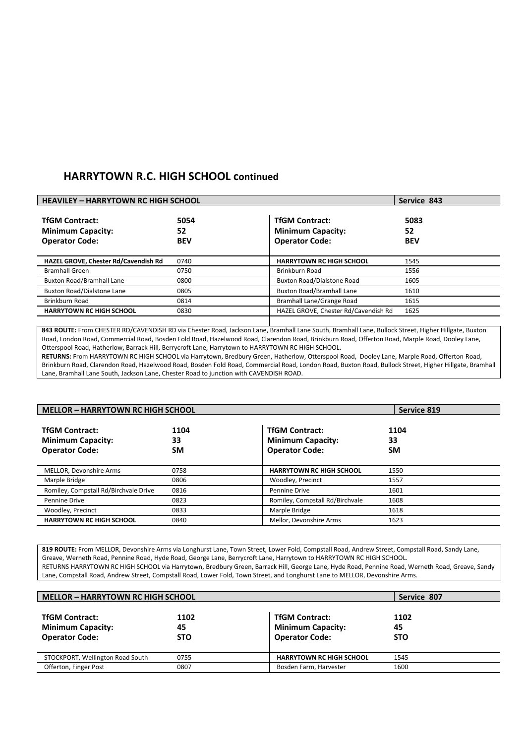## **HARRYTOWN R.C. HIGH SCHOOL continued**

| <b>HEAVILEY - HARRYTOWN RC HIGH SCHOOL</b>                                 |                          |                                                                            | Service 843              |
|----------------------------------------------------------------------------|--------------------------|----------------------------------------------------------------------------|--------------------------|
| <b>TfGM Contract:</b><br><b>Minimum Capacity:</b><br><b>Operator Code:</b> | 5054<br>52<br><b>BEV</b> | <b>TfGM Contract:</b><br><b>Minimum Capacity:</b><br><b>Operator Code:</b> | 5083<br>52<br><b>BEV</b> |
| HAZEL GROVE, Chester Rd/Cavendish Rd                                       | 0740                     | <b>HARRYTOWN RC HIGH SCHOOL</b>                                            | 1545                     |
| <b>Bramhall Green</b>                                                      | 0750                     | Brinkburn Road                                                             | 1556                     |
| <b>Buxton Road/Bramhall Lane</b>                                           | 0800                     | Buxton Road/Dialstone Road                                                 | 1605                     |
| <b>Buxton Road/Dialstone Lane</b>                                          | 0805                     | <b>Buxton Road/Bramhall Lane</b>                                           | 1610                     |
| Brinkburn Road                                                             | 0814                     | Bramhall Lane/Grange Road                                                  | 1615                     |
| <b>HARRYTOWN RC HIGH SCHOOL</b>                                            | 0830                     | HAZEL GROVE, Chester Rd/Cavendish Rd                                       | 1625                     |
|                                                                            |                          |                                                                            |                          |

**843 ROUTE:** From CHESTER RD/CAVENDISH RD via Chester Road, Jackson Lane, Bramhall Lane South, Bramhall Lane, Bullock Street, Higher Hillgate, Buxton Road, London Road, Commercial Road, Bosden Fold Road, Hazelwood Road, Clarendon Road, Brinkburn Road, Offerton Road, Marple Road, Dooley Lane, Otterspool Road, Hatherlow, Barrack Hill, Berrycroft Lane, Harrytown to HARRYTOWN RC HIGH SCHOOL.

**RETURNS:** From HARRYTOWN RC HIGH SCHOOL via Harrytown, Bredbury Green, Hatherlow, Otterspool Road, Dooley Lane, Marple Road, Offerton Road, Brinkburn Road, Clarendon Road, Hazelwood Road, Bosden Fold Road, Commercial Road, London Road, Buxton Road, Bullock Street, Higher Hillgate, Bramhall Lane, Bramhall Lane South, Jackson Lane, Chester Road to junction with CAVENDISH ROAD.

| <b>MELLOR - HARRYTOWN RC HIGH SCHOOL</b>                                   |                         |                                                                            | Service 819             |
|----------------------------------------------------------------------------|-------------------------|----------------------------------------------------------------------------|-------------------------|
| <b>TfGM Contract:</b><br><b>Minimum Capacity:</b><br><b>Operator Code:</b> | 1104<br>33<br><b>SM</b> | <b>TfGM Contract:</b><br><b>Minimum Capacity:</b><br><b>Operator Code:</b> | 1104<br>33<br><b>SM</b> |
| MELLOR, Devonshire Arms                                                    | 0758                    | <b>HARRYTOWN RC HIGH SCHOOL</b>                                            | 1550                    |
| Marple Bridge                                                              | 0806                    | Woodley, Precinct                                                          | 1557                    |
| Romiley, Compstall Rd/Birchvale Drive                                      | 0816                    | Pennine Drive                                                              | 1601                    |
| Pennine Drive                                                              | 0823                    | Romiley, Compstall Rd/Birchvale                                            | 1608                    |
| Woodley, Precinct                                                          | 0833                    | Marple Bridge                                                              | 1618                    |
| <b>HARRYTOWN RC HIGH SCHOOL</b>                                            | 0840                    | Mellor. Devonshire Arms                                                    | 1623                    |

**819 ROUTE:** From MELLOR, Devonshire Arms via Longhurst Lane, Town Street, Lower Fold, Compstall Road, Andrew Street, Compstall Road, Sandy Lane, Greave, Werneth Road, Pennine Road, Hyde Road, George Lane, Berrycroft Lane, Harrytown to HARRYTOWN RC HIGH SCHOOL. RETURNS HARRYTOWN RC HIGH SCHOOL via Harrytown, Bredbury Green, Barrack Hill, George Lane, Hyde Road, Pennine Road, Werneth Road, Greave, Sandy Lane, Compstall Road, Andrew Street, Compstall Road, Lower Fold, Town Street, and Longhurst Lane to MELLOR, Devonshire Arms.

| <b>MELLOR - HARRYTOWN RC HIGH SCHOOL</b>                                   |                          |                                                                            | Service 807              |  |
|----------------------------------------------------------------------------|--------------------------|----------------------------------------------------------------------------|--------------------------|--|
| <b>TfGM Contract:</b><br><b>Minimum Capacity:</b><br><b>Operator Code:</b> | 1102<br>45<br><b>STO</b> | <b>TfGM Contract:</b><br><b>Minimum Capacity:</b><br><b>Operator Code:</b> | 1102<br>45<br><b>STO</b> |  |
| STOCKPORT, Wellington Road South                                           | 0755                     | <b>HARRYTOWN RC HIGH SCHOOL</b>                                            | 1545                     |  |
| Offerton, Finger Post                                                      | 0807                     | Bosden Farm, Harvester                                                     | 1600                     |  |